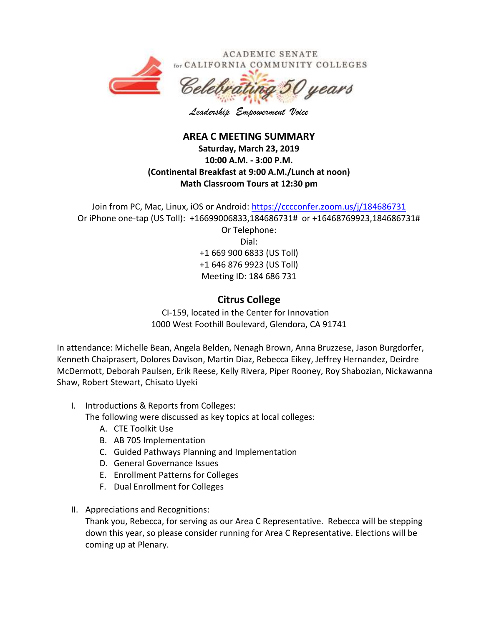

*Leadership Empowerment Voice*

## **AREA C MEETING SUMMARY Saturday, March 23, 2019 10:00 A.M. - 3:00 P.M. (Continental Breakfast at 9:00 A.M./Lunch at noon) Math Classroom Tours at 12:30 pm**

Join from PC, Mac, Linux, iOS or Android:<https://cccconfer.zoom.us/j/184686731> Or iPhone one-tap (US Toll): +16699006833,184686731# or +16468769923,184686731# Or Telephone: Dial: +1 669 900 6833 (US Toll) +1 646 876 9923 (US Toll) Meeting ID: 184 686 731

## **Citrus College**

CI-159, located in the Center for Innovation 1000 West Foothill Boulevard, Glendora, CA 91741

In attendance: Michelle Bean, Angela Belden, Nenagh Brown, Anna Bruzzese, Jason Burgdorfer, Kenneth Chaiprasert, Dolores Davison, Martin Diaz, Rebecca Eikey, Jeffrey Hernandez, Deirdre McDermott, Deborah Paulsen, Erik Reese, Kelly Rivera, Piper Rooney, Roy Shabozian, Nickawanna Shaw, Robert Stewart, Chisato Uyeki

I. Introductions & Reports from Colleges:

The following were discussed as key topics at local colleges:

- A. CTE Toolkit Use
- B. AB 705 Implementation
- C. Guided Pathways Planning and Implementation
- D. General Governance Issues
- E. Enrollment Patterns for Colleges
- F. Dual Enrollment for Colleges
- II. Appreciations and Recognitions:

Thank you, Rebecca, for serving as our Area C Representative. Rebecca will be stepping down this year, so please consider running for Area C Representative. Elections will be coming up at Plenary.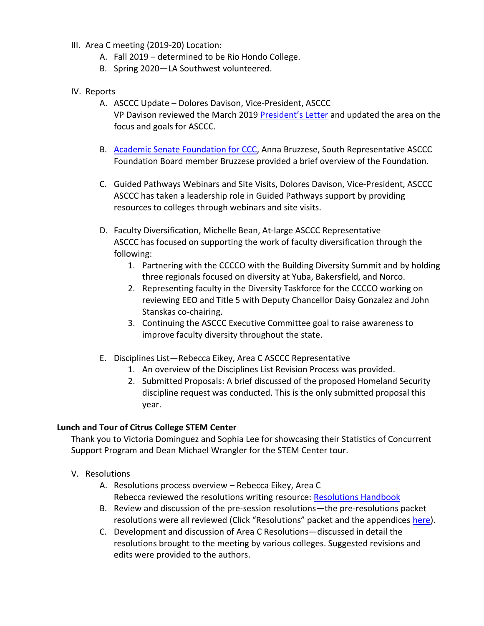- III. Area C meeting (2019-20) Location:
	- A. Fall 2019 determined to be Rio Hondo College.
	- B. Spring 2020—LA Southwest volunteered.
- IV. Reports
	- A. ASCCC Update Dolores Davison, Vice-President, ASCCC VP Davison reviewed the March 2019 [President's Letter](http://createsend.com/t/y-1A9E4BCCBD501913) and updated the area on the focus and goals for ASCCC.
	- B. [Academic Senate Foundation for CCC,](http://asfccc.com/) Anna Bruzzese, South Representative ASCCC Foundation Board member Bruzzese provided a brief overview of the Foundation.
	- C. Guided Pathways Webinars and Site Visits, Dolores Davison, Vice-President, ASCCC ASCCC has taken a leadership role in Guided Pathways support by providing resources to colleges through webinars and site visits.
	- D. Faculty Diversification, Michelle Bean, At-large ASCCC Representative ASCCC has focused on supporting the work of faculty diversification through the following:
		- 1. Partnering with the CCCCO with the Building Diversity Summit and by holding three regionals focused on diversity at Yuba, Bakersfield, and Norco.
		- 2. Representing faculty in the Diversity Taskforce for the CCCCO working on reviewing EEO and Title 5 with Deputy Chancellor Daisy Gonzalez and John Stanskas co-chairing.
		- 3. Continuing the ASCCC Executive Committee goal to raise awareness to improve faculty diversity throughout the state.
	- E. Disciplines List—Rebecca Eikey, Area C ASCCC Representative
		- 1. An overview of the Disciplines List Revision Process was provided.
		- 2. Submitted Proposals: A brief discussed of the proposed Homeland Security discipline request was conducted. This is the only submitted proposal this year.

## **Lunch and Tour of Citrus College STEM Center**

Thank you to Victoria Dominguez and Sophia Lee for showcasing their Statistics of Concurrent Support Program and Dean Michael Wrangler for the STEM Center tour.

### V. Resolutions

- A. Resolutions process overview Rebecca Eikey, Area C Rebecca reviewed the resolutions writing resource: [Resolutions Handbook](file:///C:/Users/cmckay/Desktop/ASCCC%20Exec%20Committee/Area%20B%20Meeting%20Info/ResolutionHandbookFinalFA17.pdf)
- B. Review and discussion of the pre-session resolutions—the pre-resolutions packet resolutions were all reviewed (Click "Resolutions" packet and the appendices [here\)](https://asccc.org/events/2019-04-11-150000-2019-04-13-230000/2019-spring-plenary-session).
- C. Development and discussion of Area C Resolutions—discussed in detail the resolutions brought to the meeting by various colleges. Suggested revisions and edits were provided to the authors.